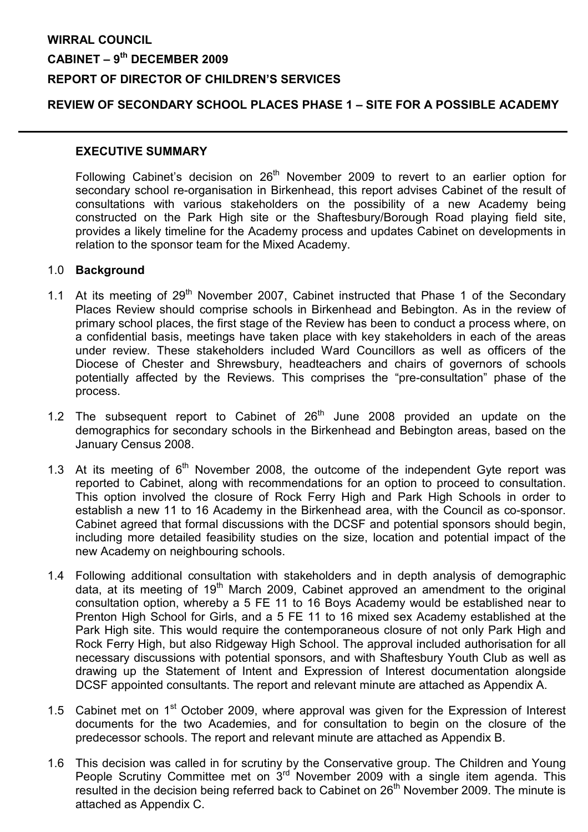# WIRRAL COUNCIL CABINET – 9<sup>th</sup> DECEMBER 2009 REPORT OF DIRECTOR OF CHILDREN'S SERVICES

## REVIEW OF SECONDARY SCHOOL PLACES PHASE 1 – SITE FOR A POSSIBLE ACADEMY

#### EXECUTIVE SUMMARY

Following Cabinet's decision on 26<sup>th</sup> November 2009 to revert to an earlier option for secondary school re-organisation in Birkenhead, this report advises Cabinet of the result of consultations with various stakeholders on the possibility of a new Academy being constructed on the Park High site or the Shaftesbury/Borough Road playing field site, provides a likely timeline for the Academy process and updates Cabinet on developments in relation to the sponsor team for the Mixed Academy.

#### 1.0 Background

- 1.1 At its meeting of  $29<sup>th</sup>$  November 2007, Cabinet instructed that Phase 1 of the Secondary Places Review should comprise schools in Birkenhead and Bebington. As in the review of primary school places, the first stage of the Review has been to conduct a process where, on a confidential basis, meetings have taken place with key stakeholders in each of the areas under review. These stakeholders included Ward Councillors as well as officers of the Diocese of Chester and Shrewsbury, headteachers and chairs of governors of schools potentially affected by the Reviews. This comprises the "pre-consultation" phase of the process.
- 1.2 The subsequent report to Cabinet of  $26<sup>th</sup>$  June 2008 provided an update on the demographics for secondary schools in the Birkenhead and Bebington areas, based on the January Census 2008.
- 1.3 At its meeting of  $6<sup>th</sup>$  November 2008, the outcome of the independent Gyte report was reported to Cabinet, along with recommendations for an option to proceed to consultation. This option involved the closure of Rock Ferry High and Park High Schools in order to establish a new 11 to 16 Academy in the Birkenhead area, with the Council as co-sponsor. Cabinet agreed that formal discussions with the DCSF and potential sponsors should begin, including more detailed feasibility studies on the size, location and potential impact of the new Academy on neighbouring schools.
- 1.4 Following additional consultation with stakeholders and in depth analysis of demographic data, at its meeting of 19<sup>th</sup> March 2009, Cabinet approved an amendment to the original consultation option, whereby a 5 FE 11 to 16 Boys Academy would be established near to Prenton High School for Girls, and a 5 FE 11 to 16 mixed sex Academy established at the Park High site. This would require the contemporaneous closure of not only Park High and Rock Ferry High, but also Ridgeway High School. The approval included authorisation for all necessary discussions with potential sponsors, and with Shaftesbury Youth Club as well as drawing up the Statement of Intent and Expression of Interest documentation alongside DCSF appointed consultants. The report and relevant minute are attached as Appendix A.
- 1.5 Cabinet met on 1<sup>st</sup> October 2009, where approval was given for the Expression of Interest documents for the two Academies, and for consultation to begin on the closure of the predecessor schools. The report and relevant minute are attached as Appendix B.
- 1.6 This decision was called in for scrutiny by the Conservative group. The Children and Young People Scrutiny Committee met on  $3<sup>rd</sup>$  November 2009 with a single item agenda. This resulted in the decision being referred back to Cabinet on 26<sup>th</sup> November 2009. The minute is attached as Appendix C.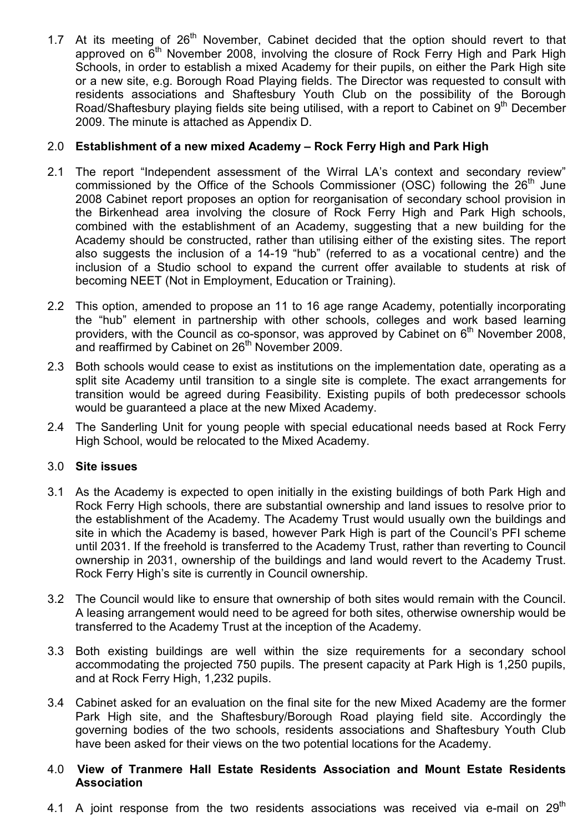1.7 At its meeting of  $26<sup>th</sup>$  November, Cabinet decided that the option should revert to that approved on  $6<sup>th</sup>$  November 2008, involving the closure of Rock Ferry High and Park High Schools, in order to establish a mixed Academy for their pupils, on either the Park High site or a new site, e.g. Borough Road Playing fields. The Director was requested to consult with residents associations and Shaftesbury Youth Club on the possibility of the Borough Road/Shaftesbury playing fields site being utilised, with a report to Cabinet on 9<sup>th</sup> December 2009. The minute is attached as Appendix D.

# 2.0 Establishment of a new mixed Academy – Rock Ferry High and Park High

- 2.1 The report "Independent assessment of the Wirral LA's context and secondary review" commissioned by the Office of the Schools Commissioner (OSC) following the 26<sup>th</sup> June 2008 Cabinet report proposes an option for reorganisation of secondary school provision in the Birkenhead area involving the closure of Rock Ferry High and Park High schools, combined with the establishment of an Academy, suggesting that a new building for the Academy should be constructed, rather than utilising either of the existing sites. The report also suggests the inclusion of a 14-19 "hub" (referred to as a vocational centre) and the inclusion of a Studio school to expand the current offer available to students at risk of becoming NEET (Not in Employment, Education or Training).
- 2.2 This option, amended to propose an 11 to 16 age range Academy, potentially incorporating the "hub" element in partnership with other schools, colleges and work based learning providers, with the Council as co-sponsor, was approved by Cabinet on  $6<sup>th</sup>$  November 2008, and reaffirmed by Cabinet on 26<sup>th</sup> November 2009.
- 2.3 Both schools would cease to exist as institutions on the implementation date, operating as a split site Academy until transition to a single site is complete. The exact arrangements for transition would be agreed during Feasibility. Existing pupils of both predecessor schools would be guaranteed a place at the new Mixed Academy.
- 2.4 The Sanderling Unit for young people with special educational needs based at Rock Ferry High School, would be relocated to the Mixed Academy.

## 3.0 Site issues

- 3.1 As the Academy is expected to open initially in the existing buildings of both Park High and Rock Ferry High schools, there are substantial ownership and land issues to resolve prior to the establishment of the Academy. The Academy Trust would usually own the buildings and site in which the Academy is based, however Park High is part of the Council's PFI scheme until 2031. If the freehold is transferred to the Academy Trust, rather than reverting to Council ownership in 2031, ownership of the buildings and land would revert to the Academy Trust. Rock Ferry High's site is currently in Council ownership.
- 3.2 The Council would like to ensure that ownership of both sites would remain with the Council. A leasing arrangement would need to be agreed for both sites, otherwise ownership would be transferred to the Academy Trust at the inception of the Academy.
- 3.3 Both existing buildings are well within the size requirements for a secondary school accommodating the projected 750 pupils. The present capacity at Park High is 1,250 pupils, and at Rock Ferry High, 1,232 pupils.
- 3.4 Cabinet asked for an evaluation on the final site for the new Mixed Academy are the former Park High site, and the Shaftesbury/Borough Road playing field site. Accordingly the governing bodies of the two schools, residents associations and Shaftesbury Youth Club have been asked for their views on the two potential locations for the Academy.

## 4.0 View of Tranmere Hall Estate Residents Association and Mount Estate Residents Association

4.1 A joint response from the two residents associations was received via e-mail on  $29<sup>th</sup>$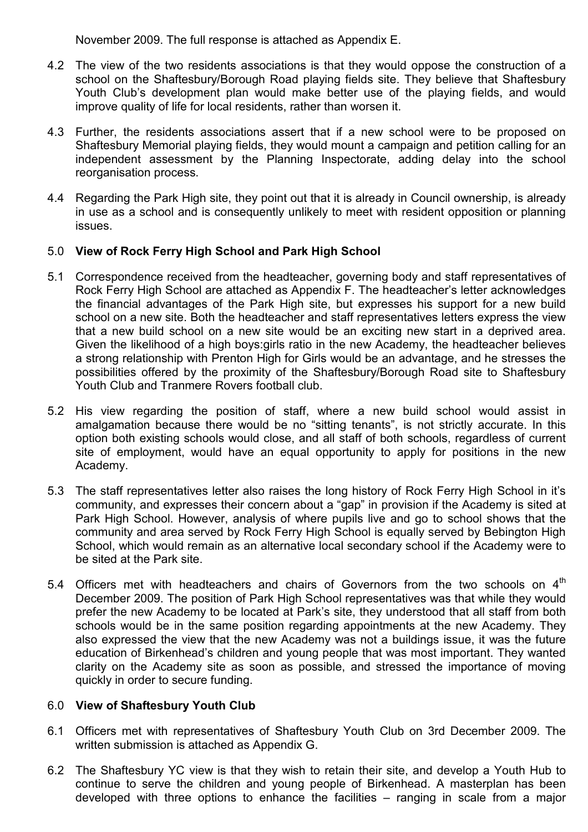November 2009. The full response is attached as Appendix E.

- 4.2 The view of the two residents associations is that they would oppose the construction of a school on the Shaftesbury/Borough Road playing fields site. They believe that Shaftesbury Youth Club's development plan would make better use of the playing fields, and would improve quality of life for local residents, rather than worsen it.
- 4.3 Further, the residents associations assert that if a new school were to be proposed on Shaftesbury Memorial playing fields, they would mount a campaign and petition calling for an independent assessment by the Planning Inspectorate, adding delay into the school reorganisation process.
- 4.4 Regarding the Park High site, they point out that it is already in Council ownership, is already in use as a school and is consequently unlikely to meet with resident opposition or planning issues.

# 5.0 View of Rock Ferry High School and Park High School

- 5.1 Correspondence received from the headteacher, governing body and staff representatives of Rock Ferry High School are attached as Appendix F. The headteacher's letter acknowledges the financial advantages of the Park High site, but expresses his support for a new build school on a new site. Both the headteacher and staff representatives letters express the view that a new build school on a new site would be an exciting new start in a deprived area. Given the likelihood of a high boys:girls ratio in the new Academy, the headteacher believes a strong relationship with Prenton High for Girls would be an advantage, and he stresses the possibilities offered by the proximity of the Shaftesbury/Borough Road site to Shaftesbury Youth Club and Tranmere Rovers football club.
- 5.2 His view regarding the position of staff, where a new build school would assist in amalgamation because there would be no "sitting tenants", is not strictly accurate. In this option both existing schools would close, and all staff of both schools, regardless of current site of employment, would have an equal opportunity to apply for positions in the new Academy.
- 5.3 The staff representatives letter also raises the long history of Rock Ferry High School in it's community, and expresses their concern about a "gap" in provision if the Academy is sited at Park High School. However, analysis of where pupils live and go to school shows that the community and area served by Rock Ferry High School is equally served by Bebington High School, which would remain as an alternative local secondary school if the Academy were to be sited at the Park site.
- 5.4 Officers met with headteachers and chairs of Governors from the two schools on  $4<sup>th</sup>$ December 2009. The position of Park High School representatives was that while they would prefer the new Academy to be located at Park's site, they understood that all staff from both schools would be in the same position regarding appointments at the new Academy. They also expressed the view that the new Academy was not a buildings issue, it was the future education of Birkenhead's children and young people that was most important. They wanted clarity on the Academy site as soon as possible, and stressed the importance of moving quickly in order to secure funding.

# 6.0 View of Shaftesbury Youth Club

- 6.1 Officers met with representatives of Shaftesbury Youth Club on 3rd December 2009. The written submission is attached as Appendix G.
- 6.2 The Shaftesbury YC view is that they wish to retain their site, and develop a Youth Hub to continue to serve the children and young people of Birkenhead. A masterplan has been developed with three options to enhance the facilities – ranging in scale from a major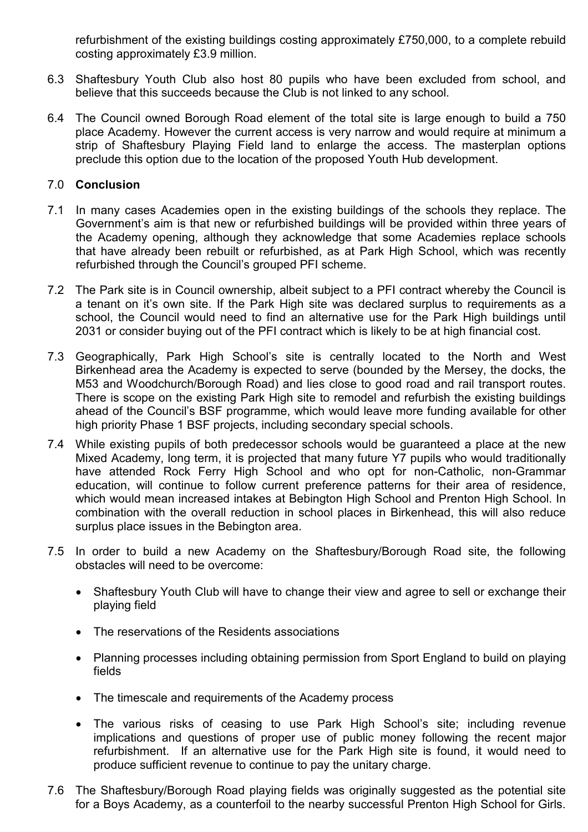refurbishment of the existing buildings costing approximately £750,000, to a complete rebuild costing approximately £3.9 million.

- 6.3 Shaftesbury Youth Club also host 80 pupils who have been excluded from school, and believe that this succeeds because the Club is not linked to any school.
- 6.4 The Council owned Borough Road element of the total site is large enough to build a 750 place Academy. However the current access is very narrow and would require at minimum a strip of Shaftesbury Playing Field land to enlarge the access. The masterplan options preclude this option due to the location of the proposed Youth Hub development.

# 7.0 Conclusion

- 7.1 In many cases Academies open in the existing buildings of the schools they replace. The Government's aim is that new or refurbished buildings will be provided within three years of the Academy opening, although they acknowledge that some Academies replace schools that have already been rebuilt or refurbished, as at Park High School, which was recently refurbished through the Council's grouped PFI scheme.
- 7.2 The Park site is in Council ownership, albeit subject to a PFI contract whereby the Council is a tenant on it's own site. If the Park High site was declared surplus to requirements as a school, the Council would need to find an alternative use for the Park High buildings until 2031 or consider buying out of the PFI contract which is likely to be at high financial cost.
- 7.3 Geographically, Park High School's site is centrally located to the North and West Birkenhead area the Academy is expected to serve (bounded by the Mersey, the docks, the M53 and Woodchurch/Borough Road) and lies close to good road and rail transport routes. There is scope on the existing Park High site to remodel and refurbish the existing buildings ahead of the Council's BSF programme, which would leave more funding available for other high priority Phase 1 BSF projects, including secondary special schools.
- 7.4 While existing pupils of both predecessor schools would be guaranteed a place at the new Mixed Academy, long term, it is projected that many future Y7 pupils who would traditionally have attended Rock Ferry High School and who opt for non-Catholic, non-Grammar education, will continue to follow current preference patterns for their area of residence, which would mean increased intakes at Bebington High School and Prenton High School. In combination with the overall reduction in school places in Birkenhead, this will also reduce surplus place issues in the Bebington area.
- 7.5 In order to build a new Academy on the Shaftesbury/Borough Road site, the following obstacles will need to be overcome:
	- Shaftesbury Youth Club will have to change their view and agree to sell or exchange their playing field
	- The reservations of the Residents associations
	- Planning processes including obtaining permission from Sport England to build on playing fields
	- The timescale and requirements of the Academy process
	- The various risks of ceasing to use Park High School's site; including revenue implications and questions of proper use of public money following the recent major refurbishment. If an alternative use for the Park High site is found, it would need to produce sufficient revenue to continue to pay the unitary charge.
- 7.6 The Shaftesbury/Borough Road playing fields was originally suggested as the potential site for a Boys Academy, as a counterfoil to the nearby successful Prenton High School for Girls.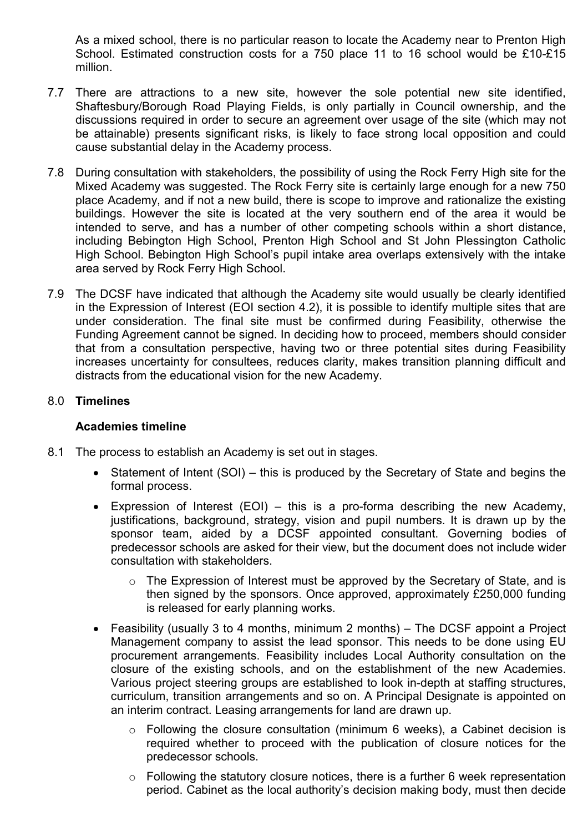As a mixed school, there is no particular reason to locate the Academy near to Prenton High School. Estimated construction costs for a 750 place 11 to 16 school would be £10-£15 million.

- 7.7 There are attractions to a new site, however the sole potential new site identified, Shaftesbury/Borough Road Playing Fields, is only partially in Council ownership, and the discussions required in order to secure an agreement over usage of the site (which may not be attainable) presents significant risks, is likely to face strong local opposition and could cause substantial delay in the Academy process.
- 7.8 During consultation with stakeholders, the possibility of using the Rock Ferry High site for the Mixed Academy was suggested. The Rock Ferry site is certainly large enough for a new 750 place Academy, and if not a new build, there is scope to improve and rationalize the existing buildings. However the site is located at the very southern end of the area it would be intended to serve, and has a number of other competing schools within a short distance, including Bebington High School, Prenton High School and St John Plessington Catholic High School. Bebington High School's pupil intake area overlaps extensively with the intake area served by Rock Ferry High School.
- 7.9 The DCSF have indicated that although the Academy site would usually be clearly identified in the Expression of Interest (EOI section 4.2), it is possible to identify multiple sites that are under consideration. The final site must be confirmed during Feasibility, otherwise the Funding Agreement cannot be signed. In deciding how to proceed, members should consider that from a consultation perspective, having two or three potential sites during Feasibility increases uncertainty for consultees, reduces clarity, makes transition planning difficult and distracts from the educational vision for the new Academy.

# 8.0 Timelines

## Academies timeline

- 8.1 The process to establish an Academy is set out in stages.
	- Statement of Intent (SOI) this is produced by the Secretary of State and begins the formal process.
	- Expression of Interest (EOI) this is a pro-forma describing the new Academy, justifications, background, strategy, vision and pupil numbers. It is drawn up by the sponsor team, aided by a DCSF appointed consultant. Governing bodies of predecessor schools are asked for their view, but the document does not include wider consultation with stakeholders.
		- o The Expression of Interest must be approved by the Secretary of State, and is then signed by the sponsors. Once approved, approximately £250,000 funding is released for early planning works.
	- Feasibility (usually 3 to 4 months, minimum 2 months) The DCSF appoint a Project Management company to assist the lead sponsor. This needs to be done using EU procurement arrangements. Feasibility includes Local Authority consultation on the closure of the existing schools, and on the establishment of the new Academies. Various project steering groups are established to look in-depth at staffing structures, curriculum, transition arrangements and so on. A Principal Designate is appointed on an interim contract. Leasing arrangements for land are drawn up.
		- $\circ$  Following the closure consultation (minimum 6 weeks), a Cabinet decision is required whether to proceed with the publication of closure notices for the predecessor schools.
		- $\circ$  Following the statutory closure notices, there is a further 6 week representation period. Cabinet as the local authority's decision making body, must then decide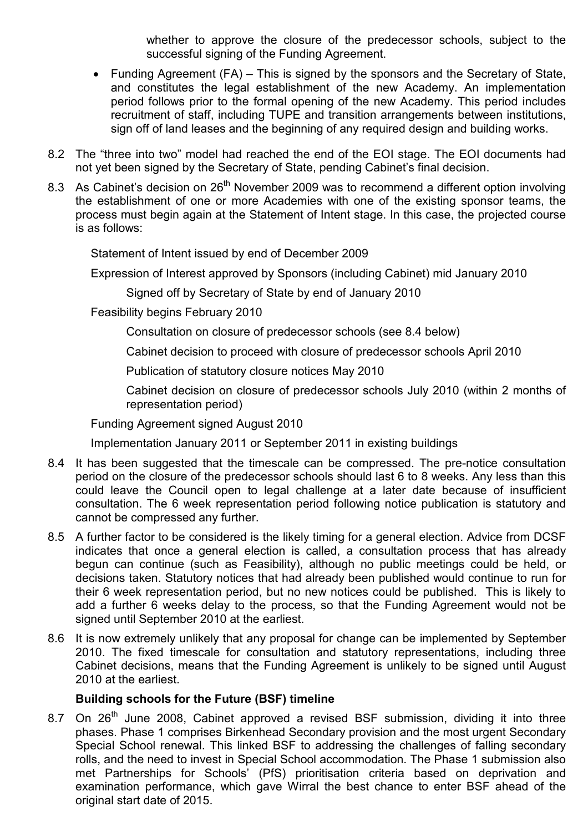whether to approve the closure of the predecessor schools, subject to the successful signing of the Funding Agreement.

- Funding Agreement (FA) This is signed by the sponsors and the Secretary of State. and constitutes the legal establishment of the new Academy. An implementation period follows prior to the formal opening of the new Academy. This period includes recruitment of staff, including TUPE and transition arrangements between institutions, sign off of land leases and the beginning of any required design and building works.
- 8.2 The "three into two" model had reached the end of the EOI stage. The EOI documents had not yet been signed by the Secretary of State, pending Cabinet's final decision.
- 8.3 As Cabinet's decision on 26<sup>th</sup> November 2009 was to recommend a different option involving the establishment of one or more Academies with one of the existing sponsor teams, the process must begin again at the Statement of Intent stage. In this case, the projected course is as follows:

Statement of Intent issued by end of December 2009

Expression of Interest approved by Sponsors (including Cabinet) mid January 2010

Signed off by Secretary of State by end of January 2010

Feasibility begins February 2010

Consultation on closure of predecessor schools (see 8.4 below)

Cabinet decision to proceed with closure of predecessor schools April 2010

Publication of statutory closure notices May 2010

Cabinet decision on closure of predecessor schools July 2010 (within 2 months of representation period)

Funding Agreement signed August 2010

Implementation January 2011 or September 2011 in existing buildings

- 8.4 It has been suggested that the timescale can be compressed. The pre-notice consultation period on the closure of the predecessor schools should last 6 to 8 weeks. Any less than this could leave the Council open to legal challenge at a later date because of insufficient consultation. The 6 week representation period following notice publication is statutory and cannot be compressed any further.
- 8.5 A further factor to be considered is the likely timing for a general election. Advice from DCSF indicates that once a general election is called, a consultation process that has already begun can continue (such as Feasibility), although no public meetings could be held, or decisions taken. Statutory notices that had already been published would continue to run for their 6 week representation period, but no new notices could be published. This is likely to add a further 6 weeks delay to the process, so that the Funding Agreement would not be signed until September 2010 at the earliest.
- 8.6 It is now extremely unlikely that any proposal for change can be implemented by September 2010. The fixed timescale for consultation and statutory representations, including three Cabinet decisions, means that the Funding Agreement is unlikely to be signed until August 2010 at the earliest.

## Building schools for the Future (BSF) timeline

8.7 On 26<sup>th</sup> June 2008, Cabinet approved a revised BSF submission, dividing it into three phases. Phase 1 comprises Birkenhead Secondary provision and the most urgent Secondary Special School renewal. This linked BSF to addressing the challenges of falling secondary rolls, and the need to invest in Special School accommodation. The Phase 1 submission also met Partnerships for Schools' (PfS) prioritisation criteria based on deprivation and examination performance, which gave Wirral the best chance to enter BSF ahead of the original start date of 2015.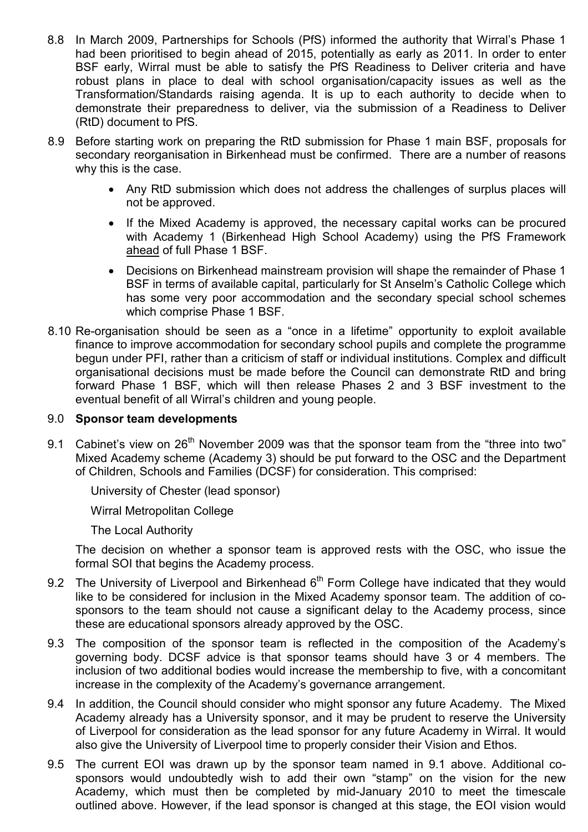- 8.8 In March 2009, Partnerships for Schools (PfS) informed the authority that Wirral's Phase 1 had been prioritised to begin ahead of 2015, potentially as early as 2011. In order to enter BSF early, Wirral must be able to satisfy the PfS Readiness to Deliver criteria and have robust plans in place to deal with school organisation/capacity issues as well as the Transformation/Standards raising agenda. It is up to each authority to decide when to demonstrate their preparedness to deliver, via the submission of a Readiness to Deliver (RtD) document to PfS.
- 8.9 Before starting work on preparing the RtD submission for Phase 1 main BSF, proposals for secondary reorganisation in Birkenhead must be confirmed. There are a number of reasons why this is the case.
	- Any RtD submission which does not address the challenges of surplus places will not be approved.
	- If the Mixed Academy is approved, the necessary capital works can be procured with Academy 1 (Birkenhead High School Academy) using the PfS Framework ahead of full Phase 1 BSF.
	- Decisions on Birkenhead mainstream provision will shape the remainder of Phase 1 BSF in terms of available capital, particularly for St Anselm's Catholic College which has some very poor accommodation and the secondary special school schemes which comprise Phase 1 BSF.
- 8.10 Re-organisation should be seen as a "once in a lifetime" opportunity to exploit available finance to improve accommodation for secondary school pupils and complete the programme begun under PFI, rather than a criticism of staff or individual institutions. Complex and difficult organisational decisions must be made before the Council can demonstrate RtD and bring forward Phase 1 BSF, which will then release Phases 2 and 3 BSF investment to the eventual benefit of all Wirral's children and young people.

## 9.0 Sponsor team developments

9.1 Cabinet's view on 26<sup>th</sup> November 2009 was that the sponsor team from the "three into two" Mixed Academy scheme (Academy 3) should be put forward to the OSC and the Department of Children, Schools and Families (DCSF) for consideration. This comprised:

University of Chester (lead sponsor)

Wirral Metropolitan College

The Local Authority

The decision on whether a sponsor team is approved rests with the OSC, who issue the formal SOI that begins the Academy process.

- 9.2 The University of Liverpool and Birkenhead  $6<sup>th</sup>$  Form College have indicated that they would like to be considered for inclusion in the Mixed Academy sponsor team. The addition of cosponsors to the team should not cause a significant delay to the Academy process, since these are educational sponsors already approved by the OSC.
- 9.3 The composition of the sponsor team is reflected in the composition of the Academy's governing body. DCSF advice is that sponsor teams should have 3 or 4 members. The inclusion of two additional bodies would increase the membership to five, with a concomitant increase in the complexity of the Academy's governance arrangement.
- 9.4 In addition, the Council should consider who might sponsor any future Academy. The Mixed Academy already has a University sponsor, and it may be prudent to reserve the University of Liverpool for consideration as the lead sponsor for any future Academy in Wirral. It would also give the University of Liverpool time to properly consider their Vision and Ethos.
- 9.5 The current EOI was drawn up by the sponsor team named in 9.1 above. Additional cosponsors would undoubtedly wish to add their own "stamp" on the vision for the new Academy, which must then be completed by mid-January 2010 to meet the timescale outlined above. However, if the lead sponsor is changed at this stage, the EOI vision would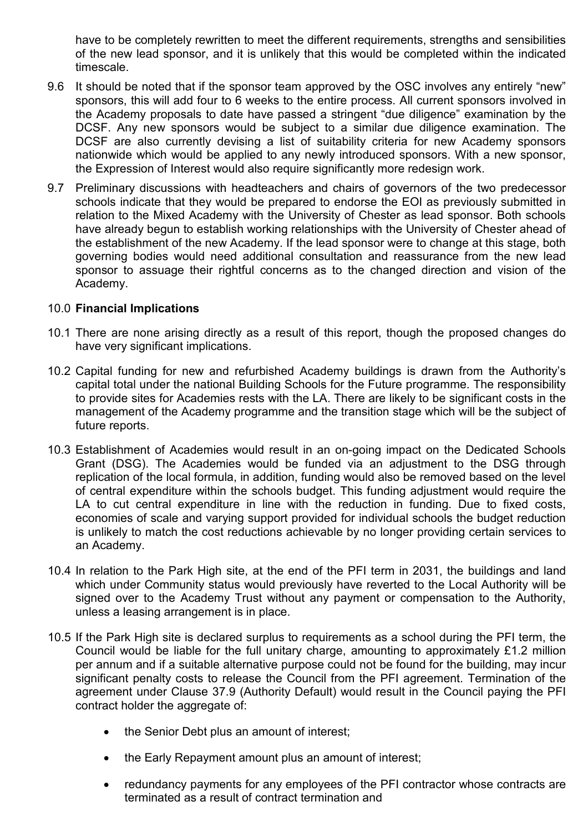have to be completely rewritten to meet the different requirements, strengths and sensibilities of the new lead sponsor, and it is unlikely that this would be completed within the indicated timescale.

- 9.6 It should be noted that if the sponsor team approved by the OSC involves any entirely "new" sponsors, this will add four to 6 weeks to the entire process. All current sponsors involved in the Academy proposals to date have passed a stringent "due diligence" examination by the DCSF. Any new sponsors would be subject to a similar due diligence examination. The DCSF are also currently devising a list of suitability criteria for new Academy sponsors nationwide which would be applied to any newly introduced sponsors. With a new sponsor, the Expression of Interest would also require significantly more redesign work.
- 9.7 Preliminary discussions with headteachers and chairs of governors of the two predecessor schools indicate that they would be prepared to endorse the EOI as previously submitted in relation to the Mixed Academy with the University of Chester as lead sponsor. Both schools have already begun to establish working relationships with the University of Chester ahead of the establishment of the new Academy. If the lead sponsor were to change at this stage, both governing bodies would need additional consultation and reassurance from the new lead sponsor to assuage their rightful concerns as to the changed direction and vision of the Academy.

## 10.0 Financial Implications

- 10.1 There are none arising directly as a result of this report, though the proposed changes do have very significant implications.
- 10.2 Capital funding for new and refurbished Academy buildings is drawn from the Authority's capital total under the national Building Schools for the Future programme. The responsibility to provide sites for Academies rests with the LA. There are likely to be significant costs in the management of the Academy programme and the transition stage which will be the subject of future reports.
- 10.3 Establishment of Academies would result in an on-going impact on the Dedicated Schools Grant (DSG). The Academies would be funded via an adjustment to the DSG through replication of the local formula, in addition, funding would also be removed based on the level of central expenditure within the schools budget. This funding adjustment would require the LA to cut central expenditure in line with the reduction in funding. Due to fixed costs, economies of scale and varying support provided for individual schools the budget reduction is unlikely to match the cost reductions achievable by no longer providing certain services to an Academy.
- 10.4 In relation to the Park High site, at the end of the PFI term in 2031, the buildings and land which under Community status would previously have reverted to the Local Authority will be signed over to the Academy Trust without any payment or compensation to the Authority, unless a leasing arrangement is in place.
- 10.5 If the Park High site is declared surplus to requirements as a school during the PFI term, the Council would be liable for the full unitary charge, amounting to approximately £1.2 million per annum and if a suitable alternative purpose could not be found for the building, may incur significant penalty costs to release the Council from the PFI agreement. Termination of the agreement under Clause 37.9 (Authority Default) would result in the Council paying the PFI contract holder the aggregate of:
	- the Senior Debt plus an amount of interest:
	- the Early Repayment amount plus an amount of interest;
	- redundancy payments for any employees of the PFI contractor whose contracts are terminated as a result of contract termination and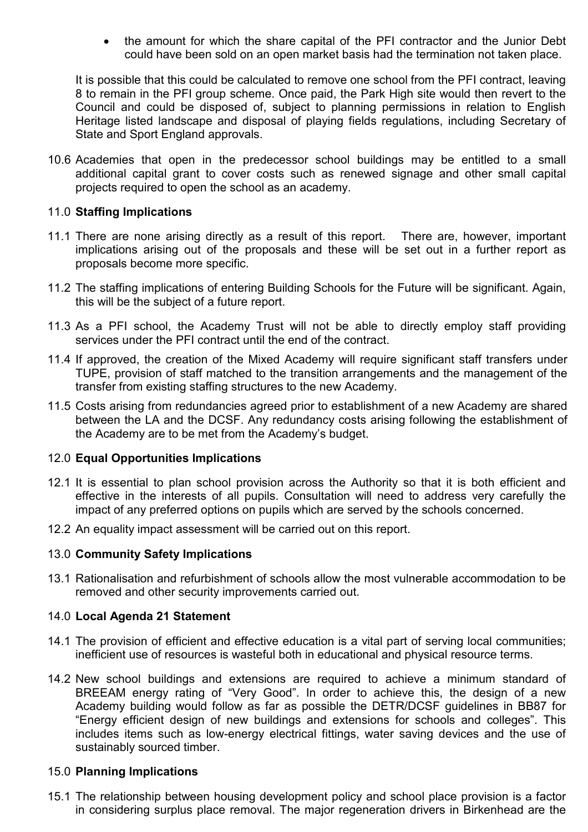• the amount for which the share capital of the PFI contractor and the Junior Debt could have been sold on an open market basis had the termination not taken place.

It is possible that this could be calculated to remove one school from the PFI contract, leaving 8 to remain in the PFI group scheme. Once paid, the Park High site would then revert to the Council and could be disposed of, subject to planning permissions in relation to English Heritage listed landscape and disposal of playing fields regulations, including Secretary of State and Sport England approvals.

10.6 Academies that open in the predecessor school buildings may be entitled to a small additional capital grant to cover costs such as renewed signage and other small capital projects required to open the school as an academy.

#### 11.0 Staffing Implications

- 11.1 There are none arising directly as a result of this report. There are, however, important implications arising out of the proposals and these will be set out in a further report as proposals become more specific.
- 11.2 The staffing implications of entering Building Schools for the Future will be significant. Again, this will be the subject of a future report.
- 11.3 As a PFI school, the Academy Trust will not be able to directly employ staff providing services under the PFI contract until the end of the contract.
- 11.4 If approved, the creation of the Mixed Academy will require significant staff transfers under TUPE, provision of staff matched to the transition arrangements and the management of the transfer from existing staffing structures to the new Academy.
- 11.5 Costs arising from redundancies agreed prior to establishment of a new Academy are shared between the LA and the DCSF. Any redundancy costs arising following the establishment of the Academy are to be met from the Academy's budget.

#### 12.0 Equal Opportunities Implications

- 12.1 It is essential to plan school provision across the Authority so that it is both efficient and effective in the interests of all pupils. Consultation will need to address very carefully the impact of any preferred options on pupils which are served by the schools concerned.
- 12.2 An equality impact assessment will be carried out on this report.

## 13.0 Community Safety Implications

13.1 Rationalisation and refurbishment of schools allow the most vulnerable accommodation to be removed and other security improvements carried out.

#### 14.0 Local Agenda 21 Statement

- 14.1 The provision of efficient and effective education is a vital part of serving local communities; inefficient use of resources is wasteful both in educational and physical resource terms.
- 14.2 New school buildings and extensions are required to achieve a minimum standard of BREEAM energy rating of "Very Good". In order to achieve this, the design of a new Academy building would follow as far as possible the DETR/DCSF guidelines in BB87 for "Energy efficient design of new buildings and extensions for schools and colleges". This includes items such as low-energy electrical fittings, water saving devices and the use of sustainably sourced timber.

#### 15.0 Planning Implications

15.1 The relationship between housing development policy and school place provision is a factor in considering surplus place removal. The major regeneration drivers in Birkenhead are the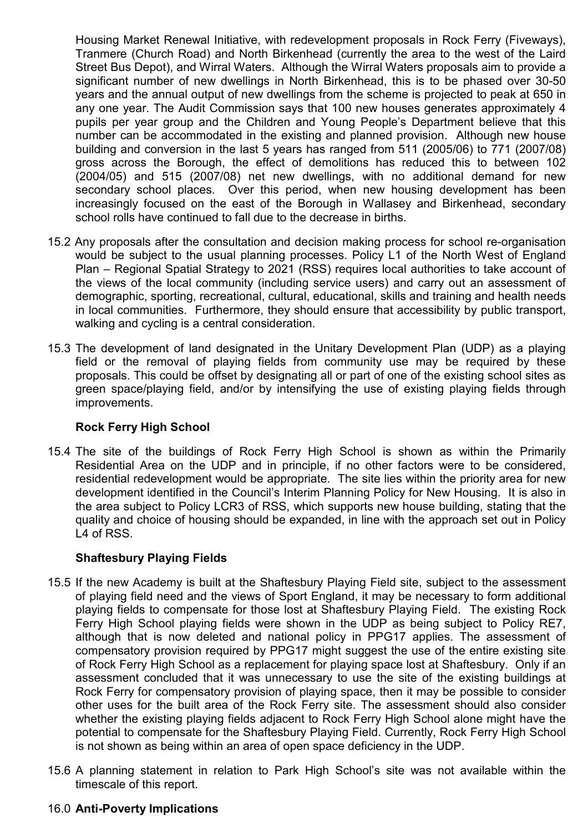Housing Market Renewal Initiative, with redevelopment proposals in Rock Ferry (Fiveways), Tranmere (Church Road) and North Birkenhead (currently the area to the west of the Laird Street Bus Depot), and Wirral Waters. Although the Wirral Waters proposals aim to provide a significant number of new dwellings in North Birkenhead, this is to be phased over 30-50 years and the annual output of new dwellings from the scheme is projected to peak at 650 in any one year. The Audit Commission says that 100 new houses generates approximately 4 pupils per year group and the Children and Young People's Department believe that this number can be accommodated in the existing and planned provision. Although new house building and conversion in the last 5 years has ranged from 511 (2005/06) to 771 (2007/08) gross across the Borough, the effect of demolitions has reduced this to between 102 (2004/05) and 515 (2007/08) net new dwellings, with no additional demand for new secondary school places. Over this period, when new housing development has been increasingly focused on the east of the Borough in Wallasey and Birkenhead, secondary school rolls have continued to fall due to the decrease in births.

- 15.2 Any proposals after the consultation and decision making process for school re-organisation would be subject to the usual planning processes. Policy L1 of the North West of England Plan – Regional Spatial Strategy to 2021 (RSS) requires local authorities to take account of the views of the local community (including service users) and carry out an assessment of demographic, sporting, recreational, cultural, educational, skills and training and health needs in local communities. Furthermore, they should ensure that accessibility by public transport, walking and cycling is a central consideration.
- 15.3 The development of land designated in the Unitary Development Plan (UDP) as a playing field or the removal of playing fields from community use may be required by these proposals. This could be offset by designating all or part of one of the existing school sites as green space/playing field, and/or by intensifying the use of existing playing fields through improvements.

# Rock Ferry High School

15.4 The site of the buildings of Rock Ferry High School is shown as within the Primarily Residential Area on the UDP and in principle, if no other factors were to be considered, residential redevelopment would be appropriate. The site lies within the priority area for new development identified in the Council's Interim Planning Policy for New Housing. It is also in the area subject to Policy LCR3 of RSS, which supports new house building, stating that the quality and choice of housing should be expanded, in line with the approach set out in Policy L4 of RSS.

# Shaftesbury Playing Fields

- 15.5 If the new Academy is built at the Shaftesbury Playing Field site, subject to the assessment of playing field need and the views of Sport England, it may be necessary to form additional playing fields to compensate for those lost at Shaftesbury Playing Field. The existing Rock Ferry High School playing fields were shown in the UDP as being subject to Policy RE7, although that is now deleted and national policy in PPG17 applies. The assessment of compensatory provision required by PPG17 might suggest the use of the entire existing site of Rock Ferry High School as a replacement for playing space lost at Shaftesbury. Only if an assessment concluded that it was unnecessary to use the site of the existing buildings at Rock Ferry for compensatory provision of playing space, then it may be possible to consider other uses for the built area of the Rock Ferry site. The assessment should also consider whether the existing playing fields adjacent to Rock Ferry High School alone might have the potential to compensate for the Shaftesbury Playing Field. Currently, Rock Ferry High School is not shown as being within an area of open space deficiency in the UDP.
- 15.6 A planning statement in relation to Park High School's site was not available within the timescale of this report.

## 16.0 Anti-Poverty Implications